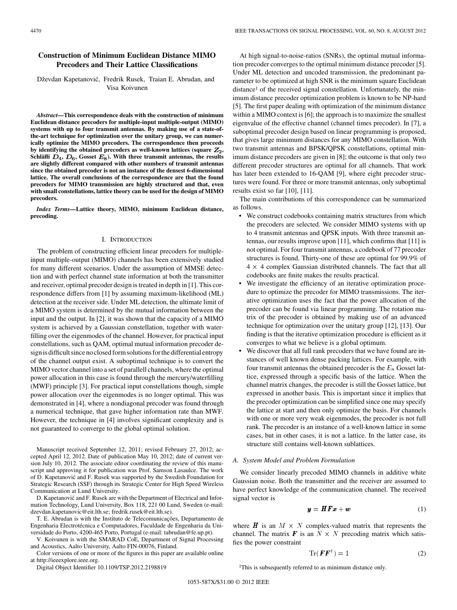# **Construction of Minimum Euclidean Distance MIMO Precoders and Their Lattice Classifications**

Dževdan Kapetanović, Fredrik Rusek, Traian E. Abrudan, and Visa Koivunen

*Abstract—***This correspondence deals with the construction of minimum Euclidean distance precoders for multiple-input multiple-output (MIMO) systems with up to four transmit antennas. By making use of a state-ofthe-art technique for optimization over the unitary group, we can numerically optimize the MIMO precoders. The correspondence then proceeds** by identifying the obtained precoders as well-known lattices (square  $Z_2$ , Schläfli  $D_4$ ,  $D_6$ , Gosset  $E_8$ ). With three transmit antennas, the results **are slightly different compared with other numbers of transmit antennas since the obtained precoder is not an instance of the densest 6-dimensional lattice. The overall conclusions of the correspondence are that the found precoders for MIMO transmission are highly structured and that, even with small constellations, lattice theory can be used for the design of MIMO precoders.**

*Index Terms—***Lattice theory, MIMO, minimum Euclidean distance, precoding.**

#### I. INTRODUCTION

The problem of constructing efficient linear precoders for multipleinput multiple-output (MIMO) channels has been extensively studied for many different scenarios. Under the assumption of MMSE detection and with perfect channel state information at both the transmitter and receiver, optimal precoder design is treated in depth in [1]. This correspondence differs from [1] by assuming maximum-likelihood (ML) detection at the receiver side. Under ML detection, the ultimate limit of a MIMO system is determined by the mutual information between the input and the output. In [2], it was shown that the capacity of a MIMO system is achieved by a Gaussian constellation, together with waterfilling over the eigenmodes of the channel. However, for practical input constellations, such as QAM, optimal mutual information precoder design is difficult since no closed form solutions for the differential entropy of the channel output exist. A suboptimal technique is to convert the MIMO vector channel into a set of parallell channels, where the optimal power allocation in this case is found through the mercury/waterfilling (MWF) principle [3]. For practical input constellations though, simple power allocation over the eigenmodes is no longer optimal. This was demonstrated in [4], where a nondiagonal precoder was found through a numerical technique, that gave higher information rate than MWF. However, the technique in [4] involves significant complexity and is not guaranteed to converge to the global optimal solution.

Manuscript received September 12, 2011; revised February 27, 2012; accepted April 12, 2012. Date of publication May 10, 2012; date of current version July 10, 2012. The associate editor coordinating the review of this manuscript and approving it for publication was Prof. Samson Lasaulce. The work of D. Kapetanović and F. Rusek was supported by the Swedish Foundation for Strategic Research (SSF) through its Strategic Center for High Speed Wireless Communication at Lund University.

D. Kapetanović and F. Rusek are with the Department of Electrical and Information Technology, Lund University, Box 118, 221 00 Lund, Sweden (e-mail: dzevdan.kapetanovic@eit.lth.se; fredrik.rusek@eit.lth.se).

T. E. Abrudan is with the Instituto de Telecomunicações, Departamento de Engenharia Electrotécnica e Computadores, Faculdade de Engenharia da Universidade do Porto, 4200-465 Porto, Portugal (e-mail: tabrudan@fe.up.pt).

V. Koivunen is with the SMARAD CoE, Department of Signal Processing and Acoustics, Aalto University, Aalto FIN-00076, Finland.

Color versions of one or more of the figures in this paper are available online at http://ieeexplore.ieee.org.

Digital Object Identifier 10.1109/TSP.2012.2198819

At high signal-to-noise-ratios (SNRs), the optimal mutual information precoder converges to the optimal minimum distance precoder [5]. Under ML detection and uncoded transmission, the predominant parameter to be optimized at high SNR is the minimum square Euclidean distance<sup>1</sup> of the received signal constellation. Unfortunately, the minimum distance precoder optimization problem is known to be NP-hard [5]. The first paper dealing with optimization of the minimum distance within a MIMO context is [6]; the approach is to maximize the smallest eigenvalue of the effective channel (channel times precoder). In [7], a suboptimal precoder design based on linear programming is proposed, that gives large minimum distances for any MIMO constellation. With two transmit antennas and BPSK/QPSK constellations, optimal minimum distance precoders are given in [8]; the outcome is that only two different precoder structures are optimal for all channels. That work has later been extended to 16-QAM [9], where eight precoder structures were found. For three or more transmit antennas, only suboptimal results exist so far [10], [11].

The main contributions of this correspondence can be summarized as follows.

- We construct codebooks containing matrix structures from which the precoders are selected. We consider MIMO systems with up to 4 transmit antennas and QPSK inputs. With three transmit antennas, our results improve upon [11], which confirms that [11] is not optimal. For four transmit antennas, a codebook of 77 precoder structures is found. Thirty-one of these are optimal for 99.9% of  $4 \times 4$  complex Gaussian distributed channels. The fact that all codebooks are finite makes the results practical.
- We investigate the efficiency of an iterative optimization procedure to optimize the precoder for MIMO transmissions. The iterative optimization uses the fact that the power allocation of the precoder can be found via linear programming. The rotation matrix of the precoder is obtained by making use of an advanced technique for optimization over the unitary group [12], [13]. Our finding is that the iterative optimization procedure is efficient as it converges to what we believe is a global optimum.
- We discover that all full rank precoders that we have found are instances of well known dense packing lattices. For example, with four transmit antennas the obtained precoder is the  $E_8$  Gosset lattice, expressed through a specific basis of the lattice. When the channel matrix changes, the precoder is still the Gosset lattice, but expressed in another basis. This is important since it implies that the precoder optimization can be simplified since one may specify the lattice at start and then only optimize the basis. For channels with one or more very weak eigenmodes, the precoder is not full rank. The precoder is an instance of a well-known lattice in some cases, but in other cases, it is not a lattice. In the latter case, its structure still contains well-known sublattices.

## *A. System Model and Problem Formulation*

We consider linearly precoded MIMO channels in additive white Gaussian noise. Both the transmitter and the receiver are assumed to have perfect knowledge of the communication channel. The received signal vector is

$$
y = HFx + w \tag{1}
$$

where **H** is an  $M \times N$  complex-valued matrix that represents the channel. The matrix  $\mathbf{F}$  is an  $N \times N$  precoding matrix which satisfies the power constraint

$$
\operatorname{Tr}(\boldsymbol{F}\boldsymbol{F}^{\dagger}) = 1 \tag{2}
$$

1This is subsequently referred to as minimum distance only.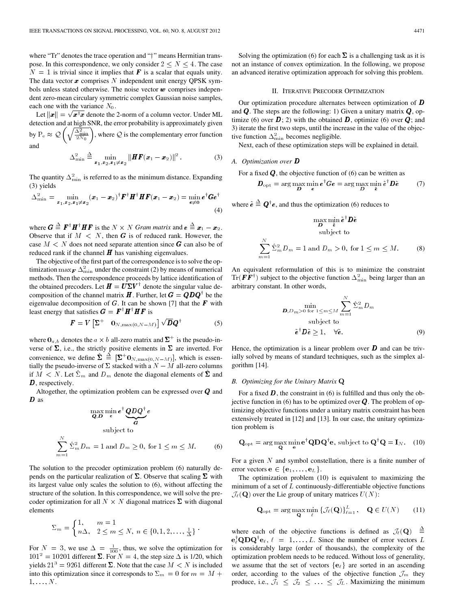where "Tr" denotes the trace operation and "<sup>+</sup>" means Hermitian transpose. In this correspondence, we only consider  $2 \le N \le 4$ . The case  $N = 1$  is trivial since it implies that  $\boldsymbol{F}$  is a scalar that equals unity. The data vector  $x$  comprises  $N$  independent unit energy QPSK symbols unless stated otherwise. The noise vector  $w$  comprises independent zero-mean circulary symmetric complex Gaussian noise samples, each one with the variance  $N_0$ .

Let  $||x|| = \sqrt{x^{\dagger} x}$  denote the 2-norm of a column vector. Under ML detection and at high SNR, the error probability is approximately given by  $P_e \approx \mathcal{Q}\left(\sqrt{\frac{\Delta_{\min}^2}{2N_0}}\right)$ , where  $\mathcal Q$  is the complementary error function and

$$
\Delta_{\min}^2 \stackrel{\Delta}{=} \min_{\mathbf{x}_1, \mathbf{x}_2, \mathbf{x}_1 \neq \mathbf{x}_2} ||\boldsymbol{H}\boldsymbol{F}(\mathbf{x}_1 - \mathbf{x}_2)||^2.
$$
 (3)

The quantity  $\Delta_{\min}^2$  is referred to as the minimum distance. Expanding (3) yields

$$
\Delta_{\min}^2 = \min_{\boldsymbol{x}_1, \boldsymbol{x}_2, \boldsymbol{x}_1 \neq \boldsymbol{x}_2} (\boldsymbol{x}_1 - \boldsymbol{x}_2)^{\dagger} \boldsymbol{F}^{\dagger} \boldsymbol{H}^{\dagger} \boldsymbol{H} \boldsymbol{F} (\boldsymbol{x}_1 - \boldsymbol{x}_2) = \min_{\boldsymbol{e} \neq \boldsymbol{0}} \boldsymbol{e}^{\dagger} \boldsymbol{G} \boldsymbol{e}^{\dagger}
$$
\n(4)

where  $G \triangleq F^{\dagger} H^{\dagger} H F$  is the  $N \times N$  Gram matrix and  $e \triangleq x_1 - x_2$ . Observe that if  $M \leq N$ , then G is of reduced rank. However, the case  $M < N$  does not need separate attention since  $\boldsymbol{G}$  can also be of reduced rank if the channel  $\boldsymbol{H}$  has vanishing eigenvalues.

The objective of the first part of the correspondence is to solve the optimization  $\max_{\mathbf{F}} \Delta_{\min}^2$  under the constraint (2) by means of numerical methods. Then the correspondence proceeds by lattice identification of the obtained precoders. Let  $H = U \Sigma V^{\dagger}$  denote the singular value decomposition of the channel matrix  $\pmb{H}$  . Further, let  $\pmb{G} = \pmb{Q}\pmb{D}\pmb{Q}^\dagger$  be the eigenvalue decomposition of  $G$ . It can be shown [7] that the  $F$  with least energy that satisfies  $G = F^\dagger H^\dagger H F$  is

$$
\boldsymbol{F} = \boldsymbol{V} \begin{bmatrix} \boldsymbol{\Sigma}^+ & \boldsymbol{0}_{N,\max(0,N-M)} \end{bmatrix} \sqrt{\boldsymbol{D}} \boldsymbol{Q}^\dagger
$$
 (5)

where  $\mathbf{0}_{a,b}$  denotes the  $a \times b$  all-zero matrix and  $\Sigma^+$  is the pseudo-inverse of  $\Sigma$ , i.e., the strictly positive elements in  $\Sigma$  are inverted. For convenience, we define  $\hat{\Sigma} \triangleq [\Sigma^+ 0_{N,\max(0,N-M)}]$ , which is essentially the pseudo-inverse of  $\Sigma$  stacked with a  $N - M$  all-zero columns if  $\overline{M}$  <  $\overline{N}$ . Let  $\hat{\Sigma}_m$  and  $D_m$  denote the diagonal elements of  $\hat{\Sigma}$  and D, respectively.

Altogether, the optimization problem can be expressed over  $\boldsymbol{Q}$  and  $\boldsymbol{D}$  as

$$
\max_{\mathbf{Q}, \mathbf{D}} \min_{\mathbf{e}} \mathbf{e}^{\dagger} \underbrace{\mathbf{Q} \mathbf{D} \mathbf{Q}^{\dagger}}_{\mathbf{G}} \mathbf{e}
$$
\nsubject to\n
$$
\sum_{m=1}^{N} \hat{\Sigma}_{m}^{2} D_{m} = 1 \text{ and } D_{m} \geq 0, \text{ for } 1 \leq m \leq M. \tag{6}
$$

The solution to the precoder optimization problem (6) naturally depends on the particular realization of  $\Sigma$ . Observe that scaling  $\Sigma$  with its largest value only scales the solution to (6), without affecting the structure of the solution. In this correspondence, we will solve the precoder optimization for all  $N \times N$  diagonal matrices  $\Sigma$  with diagonal elements

$$
\Sigma_m = \begin{cases} 1, & m = 1 \\ n\Delta, & 2 \leq m \leq N, \ n \in \{0, 1, 2, \dots, \frac{1}{\Delta}\} \end{cases}.
$$

For  $N = 3$ , we use  $\Delta = \frac{1}{100}$ , thus, we solve the optimization for  $101^2 = 10201$  different  $\Sigma$ . For  $N = 4$ , the step size  $\Delta$  is 1/20, which yields 21<sup>3</sup> = 9261 different  $\Sigma$ . Note that the case  $M < N$  is included into this optimization since it corresponds to  $\Sigma_m = 0$  for  $m = M +$  $1, \ldots, N$ .

Solving the optimization (6) for each  $\Sigma$  is a challenging task as it is not an instance of convex optimization. In the following, we propose an advanced iterative optimization approach for solving this problem.

#### II. ITERATIVE PRECODER OPTIMIZATION

Our optimization procedure alternates between optimization of  $D$ and Q. The steps are the following: 1) Given a unitary matrix  $Q$ , optimize (6) over  $\mathbf{D}$ ; 2) with the obtained  $\mathbf{D}$ , optimize (6) over  $\mathbf{Q}$ ; and 3) iterate the first two steps, until the increase in the value of the objective function  $\Delta_{\min}^2$  becomes negligible.

Next, each of these optimization steps will be explained in detail.

### *A. Optimization over*

For a fixed  $Q$ , the objective function of (6) can be written as

$$
\boldsymbol{D}_{\text{opt}} = \arg\max_{\boldsymbol{D}} \min_{\boldsymbol{e}} \boldsymbol{e}^{\dagger} \boldsymbol{G} \boldsymbol{e} = \arg\max_{\boldsymbol{D}} \min_{\tilde{\boldsymbol{e}}} \tilde{\boldsymbol{e}}^{\dagger} \boldsymbol{D} \tilde{\boldsymbol{e}} \tag{7}
$$

where  $\tilde{e} \triangleq \boldsymbol{Q}^{\dagger} \boldsymbol{e}$ , and thus the optimization (6) reduces to

$$
\max_{\mathbf{D}} \min_{\tilde{\mathbf{\varepsilon}}} \tilde{\mathbf{\varepsilon}}^{\dagger} \mathbf{D} \tilde{\mathbf{\varepsilon}}
$$
\nsubject to\n
$$
\sum_{m=1}^{N} \hat{\Sigma}_{m}^{2} D_{m} = 1 \text{ and } D_{m} > 0, \text{ for } 1 \leq m \leq M. \tag{8}
$$

An equivalent reformulation of this is to minimize the constraint  $\text{Tr}(\mathbf{F}\mathbf{F}^{\dagger})$  subject to the objective function  $\Delta_{\min}^2$  being larger than an arbitrary constant. In other words,

$$
\min_{\substack{\mathbf{D}, D_m > 0 \text{ for } 1 \le m \le M}} \sum_{m=1}^{N} \hat{\Sigma}_m^2 D_m
$$
\nsubject to\n
$$
\tilde{e}^\dagger \mathbf{D} \tilde{e} \ge 1, \quad \forall \tilde{e}.
$$
\n(9)

Hence, the optimization is a linear problem over  $D$  and can be trivially solved by means of standard techniques, such as the simplex algorithm [14].

### *B. Optimizing for the Unitary Matrix Q.*

For a fixed  $D$ , the constraint in (6) is fulfilled and thus only the objective function in  $(6)$  has to be optimized over  $Q$ . The problem of optimizing objective functions under a unitary matrix constraint has been extensively treated in [12] and [13]. In our case, the unitary optimization problem is

$$
\mathbf{Q}_{\text{opt}} = \arg\max_{\mathbf{Q}} \min_{\mathbf{e}} \mathbf{e}^{\dagger} \mathbf{Q} \mathbf{D} \mathbf{Q}^{\dagger} \mathbf{e}, \text{ subject to } \mathbf{Q}^{\dagger} \mathbf{Q} = \mathbf{I}_{N}. \quad (10)
$$

For a given  $N$  and symbol constellation, there is a finite number of error vectors  $e \in \{e_1, \ldots, e_L\}.$ 

The optimization problem (10) is equivalent to maximizing the minimum of a set of  $L$  continuously-differentiable objective functions  $\mathcal{J}_{\ell}(\mathbf{Q})$  over the Lie group of unitary matrices  $U(N)$ :

$$
\mathbf{Q}_{\text{opt}} = \arg\max_{\mathbf{Q}} \min_{\ell} \left\{ \mathcal{J}_{\ell}(\mathbf{Q}) \right\}_{\ell=1}^{L}, \quad \mathbf{Q} \in U(N) \tag{11}
$$

where each of the objective functions is defined as  $\mathcal{J}_{\ell}(\mathbf{Q}) = \frac{\Delta}{2}$ ≜  $e_{\ell}^{\dagger}$ QDQ<sup>†</sup> $e_{\ell}$ ,  $\ell = 1, ..., L$ . Since the number of error vectors L is considerably large (order of thousands), the complexity of the optimization problem needs to be reduced. Without loss of generality, we assume that the set of vectors  ${e_{\ell}}$  are sorted in an ascending order, according to the values of the objective function  $\mathcal{J}_m$  they produce, i.e.,  $\mathcal{J}_1 \leq \mathcal{J}_2 \leq \ldots \leq \mathcal{J}_L$ . Maximizing the minimum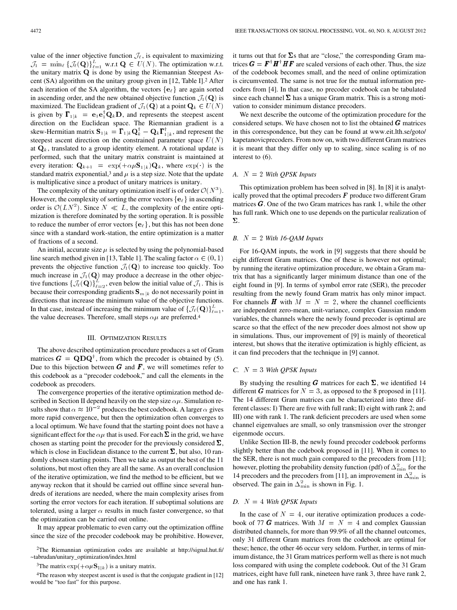value of the inner objective function  $\mathcal{J}_{\ell}$ , is equivalent to maximizing  $\mathcal{J}_1 = \min_{\ell} {\{\mathcal{J}_{\ell}(\mathbf{Q})\}}_{\ell=1}^{L}$  w.r.t  $\mathbf{Q} \in U(N)$ . The optimization w.r.t. the unitary matrix  $Q$  is done by using the Riemannian Steepest Ascent (SA) algorithm on the unitary group given in [12, Table I].2 After each iteration of the SA algorithm, the vectors  ${e_{\ell}}$  are again sorted in ascending order, and the new obtained objective function  $\mathcal{J}_1(\mathbf{Q})$  is maximized. The Euclidean gradient of  $\mathcal{J}_1(\mathbf{Q})$  at a point  $\mathbf{Q}_k \in U(N)$ is given by  $\mathbf{\Gamma}_{1|k} = e_1 e_1^{\dagger} \mathbf{Q}_k \mathbf{D}$ , and represents the steepest ascent direction on the Euclidean space. The Riemannian gradient is a skew-Hermitian matrix  ${\bf S}_{1|k}=\bm \Gamma_{1|k}{\bf Q}^\dagger_k-{\bf Q}_k\bm \Gamma^\dagger_{1|k}$ , and represent the steepest ascent direction on the constrained parameter space  $U(N)$ at  $\mathbf{Q}_k$ , translated to a group identity element. A rotational update is performed, such that the unitary matrix constraint is maintained at every iteration:  $\mathbf{Q}_{k+1} = \exp(+\alpha \mu \mathbf{S}_{1|k}) \mathbf{Q}_k$ , where  $\exp(\cdot)$  is the standard matrix exponential,<sup>3</sup> and  $\mu$  is a step size. Note that the update is multiplicative since a product of unitary matrices is unitary.

The complexity of the unitary optimization itself is of order  $\mathcal{O}(N^3)$ . However, the complexity of sorting the error vectors  ${e_{\ell}}$  in ascending order is  $\mathcal{O}(LN^2)$ . Since  $N \ll L$ , the complexity of the entire optimization is therefore dominated by the sorting operation. It is possible to reduce the number of error vectors  ${e_{\ell}}$ , but this has not been done since with a standard work-station, the entire optimization is a matter of fractions of a second.

An initial, accurate size  $\mu$  is selected by using the polynomial-based line search method given in [13, Table 1]. The scaling factor  $\alpha \in (0,1)$ prevents the objective function  $\mathcal{J}_1(\mathbf{Q})$  to increase too quickly. Too much increase in  $\mathcal{J}_1(\mathbf{Q})$  may produce a decrease in the other objective functions  $\{\mathcal{J}_{\ell}(\mathbf{Q})\}_{\ell=2}^{L}$ , even below the initial value of  $\mathcal{J}_1$ . This is because their corresponding gradients  $S_{m|k}$  do not necessarily point in directions that increase the minimum value of the objective functions. In that case, instead of increasing the minimum value of  $\{\mathcal{J}_{\ell}(\mathbf{Q})\}_{\ell=1}^{L}$ , the value decreases. Therefore, small steps  $\alpha \mu$  are preferred.<sup>4</sup>

# III. OPTIMIZATION RESULTS

The above described optimization procedure produces a set of Gram matrices  $G = \text{QDQ}^{\dagger}$ , from which the precoder is obtained by (5). Due to this bijection between  $G$  and  $F$ , we will sometimes refer to this codebook as a "precoder codebook," and call the elements in the codebook as precoders.

The convergence properties of the iterative optimization method described in Section II depend heavily on the step size  $\alpha \mu$ . Simulation results show that  $\alpha \approx 10^{-2}$  produces the best codebook. A larger  $\alpha$  gives more rapid convergence, but then the optimization often converges to a local optimum. We have found that the starting point does not have a significant effect for the  $\alpha\mu$  that is used. For each  $\Sigma$  in the grid, we have chosen as starting point the precoder for the previously considered  $\Sigma$ , which is close in Euclidean distance to the current  $\Sigma$ , but also, 10 randomly chosen starting points. Then we take as output the best of the 11 solutions, but most often they are all the same. As an overall conclusion of the iterative optimization, we find the method to be efficient, but we anyway reckon that it should be carried out offline since several hundreds of iterations are needed, where the main complexity arises from sorting the error vectors for each iteration. If suboptimal solutions are tolerated, using a larger  $\alpha$  results in much faster convergence, so that the optimization can be carried out online.

It may appear problematic to even carry out the optimization offline since the size of the precoder codebook may be prohibitive. However,

4The reason why steepest ascent is used is that the conjugate gradient in [12] would be "too fast" for this purpose.

it turns out that for  $\Sigma$ s that are "close," the corresponding Gram matrices  $G = F^{\dagger}H^{\dagger}HF$  are scaled versions of each other. Thus, the size of the codebook becomes small, and the need of online optimization is circumvented. The same is not true for the mutual information precoders from [4]. In that case, no precoder codebook can be tabulated since each channel  $\Sigma$  has a unique Gram matrix. This is a strong motivation to consider minimum distance precoders.

We next describe the outcome of the optimization procedure for the considered setups. We have chosen not to list the obtained  $G$  matrices in this correspondence, but they can be found at www.eit.lth.se/goto/ kapetanovicprecoders. From now on, with two different Gram matrices it is meant that they differ only up to scaling, since scaling is of no interest to (6).

### $A. \ N = 2$  With *QPSK Inputs*

This optimization problem has been solved in [8]. In [8] it is analytically proved that the optimal precoders  $\bm{F}$  produce two different Gram matrices  $\boldsymbol{G}$ . One of the two Gram matrices has rank 1, while the other has full rank. Which one to use depends on the particular realization of Σ.

### *B.*  $N = 2$  *With 16-QAM Inputs*

For 16-QAM inputs, the work in [9] suggests that there should be eight different Gram matrices. One of these is however not optimal; by running the iterative optimization procedure, we obtain a Gram matrix that has a significantly larger minimum distance than one of the eight found in [9]. In terms of symbol error rate (SER), the precoder resulting from the newly found Gram matrix has only minor impact. For channels **H** with  $M = N = 2$ , where the channel coefficients are independent zero-mean, unit-variance, complex Gaussian random variables, the channels where the newly found precoder is optimal are scarce so that the effect of the new precoder does almost not show up in simulations. Thus, our improvement of [9] is mainly of theoretical interest, but shows that the iterative optimization is highly efficient, as it can find precoders that the technique in [9] cannot.

### $C. N = 3 With QPSK$  Inputs

By studying the resulting G matrices for each  $\Sigma$ , we identified 14 different **G** matrices for  $N = 3$ , as opposed to the 8 proposed in [11]. The 14 different Gram matrices can be characterized into three different classes: I) There are five with full rank; II) eight with rank 2; and III) one with rank 1. The rank deficient precoders are used when some channel eigenvalues are small, so only transmission over the stronger eigenmode occurs.

Unlike Section III-B, the newly found precoder codebook performs slightly better than the codebook proposed in [11]. When it comes to the SER, there is not much gain compared to the precoders from [11]; however, plotting the probability density function (pdf) of  $\Delta_{\min}^2$  for the 14 precoders and the precoders from [11], an improvement in  $\Delta_{\min}^2$  is observed. The gain in  $\Delta_{\min}^2$  is shown in Fig. 1.

### $D. \ N = 4$  With QPSK Inputs

In the case of  $N = 4$ , our iterative optimization produces a codebook of 77 G matrices. With  $M = N = 4$  and complex Gaussian distributed channels, for more than 99.9% of all the channel outcomes, only 31 different Gram matrices from the codebook are optimal for these; hence, the other 46 occur very seldom. Further, in terms of minimum distance, the 31 Gram matrices perform well as there is not much loss compared with using the complete codebook. Out of the 31 Gram matrices, eight have full rank, nineteen have rank 3, three have rank 2, and one has rank 1.

<sup>2</sup>The Riemannian optimization codes are available at http://signal.hut.fi/ ~tabrudan/unitary\_optimization/index.html

<sup>&</sup>lt;sup>3</sup>The matrix  $\exp(+\alpha\mu S_{1|k})$  is a unitary matrix.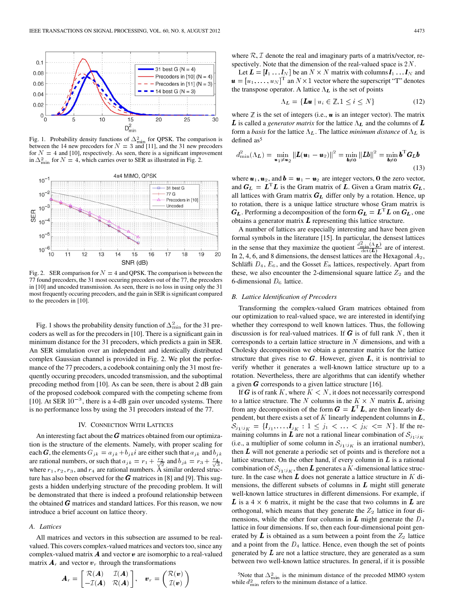

Fig. 1. Probability density functions of  $\Delta_{\min}^2$  for QPSK. The comparison is between the 14 new precoders for  $N = 3$  and [11], and the 31 new precoders for  $N = 4$  and [10], respectively. As seen, there is a significant improvement in  $\Delta_{\min}^2$  for  $N = 4$ , which carries over to SER as illustrated in Fig. 2.



Fig. 2. SER comparison for  $N = 4$  and QPSK. The comparison is between the 77 found precoders, the 31 most occuring precoders out of the 77, the precoders in [10] and uncoded transmission. As seen, there is no loss in using only the 31 most frequently occuring precoders, and the gain in SER is significant compared to the precoders in [10].

Fig. 1 shows the probability density function of  $\Delta^2_{\text{min}}$  for the 31 precoders as well as for the precoders in [10]. There is a significant gain in minimum distance for the 31 precoders, which predicts a gain in SER. An SER simulation over an independent and identically distributed complex Gaussian channel is provided in Fig. 2. We plot the performance of the 77 precoders, a codebook containing only the 31 most frequently occuring precoders, uncoded transmission, and the suboptimal precoding method from [10]. As can be seen, there is about 2 dB gain of the proposed codebook compared with the competing scheme from [10]. At SER  $10^{-3}$ , there is a 4-dB gain over uncoded systems. There is no performance loss by using the 31 precoders instead of the 77.

#### IV. CONNECTION WITH LATTICES

An interesting fact about the  $G$  matrices obtained from our optimization is the structure of the elements. Namely, with proper scaling for each  $\boldsymbol{G}$ , the elements  $G_{jk} = a_{jk} + b_{jk}i$  are either such that  $a_{jk}$  and  $b_{jk}$ are rational numbers, or such that  $a_{jk} = r_1 + \frac{r_2}{\sqrt{2}}$  and  $b_{jk} = r_3 + \frac{r_4}{\sqrt{3}}$ , where  $r_1$ ,  $r_2$ ,  $r_3$ , and  $r_4$  are rational numbers. A similar ordered structure has also been observed for the  $G$  matrices in [8] and [9]. This suggests a hidden underlying structure of the precoding problem. It will be demonstrated that there is indeed a profound relationship between the obtained  $G$  matrices and standard lattices. For this reason, we now introduce a brief account on lattice theory.

# *A. Lattices*

All matrices and vectors in this subsection are assumed to be realvalued. This covers complex-valued matrices and vectors too, since any complex-valued matrix  $A$  and vector  $v$  are isomorphic to a real-valued matrix  $A_r$  and vector  $v_r$  through the transformations

$$
A_r = \begin{bmatrix} \mathcal{R}(A) & \mathcal{I}(A) \\ -\mathcal{I}(A) & \mathcal{R}(A) \end{bmatrix}, \quad v_r = \begin{pmatrix} \mathcal{R}(v) \\ \mathcal{I}(v) \end{pmatrix}
$$

where  $\mathcal{R}, \mathcal{I}$  denote the real and imaginary parts of a matrix/vector, respectively. Note that the dimension of the real-valued space is  $2N$ .

Let  $\boldsymbol{L} = [\boldsymbol{l}_1 \dots \boldsymbol{l}_N]$  be an  $N \times N$  matrix with columns  $\boldsymbol{l}_1 \dots \boldsymbol{l}_N$  and  $\mathbf{u} = [u_1, \dots, u_N]^{\mathrm{T}}$  an  $N \times 1$  vector where the superscript "T" denotes the transpose operator. A lattice  $\Lambda_L$  is the set of points

$$
\Lambda_L = \{ \mathbf{L} \mathbf{u} \mid u_i \in \mathbb{Z}, 1 \le i \le N \}
$$
 (12)

where  $\mathbb Z$  is the set of integers (i.e.,  $\boldsymbol{u}$  is an integer vector). The matrix  $\boldsymbol{L}$  is called a *generator matrix* for the lattice  $\Lambda_{\boldsymbol{L}}$  and the columns of  $\boldsymbol{L}$ form a *basis* for the lattice  $\Lambda_L$ . The lattice *minimum distance* of  $\Lambda_L$  is defined as<sup>5</sup>

$$
d_{\min}^2(\Lambda_L) = \min_{\mathbf{u}_1 \neq \mathbf{u}_2} ||\mathbf{L}(\mathbf{u}_1 - \mathbf{u}_2)||^2 = \min_{\mathbf{b} \neq \mathbf{0}} ||\mathbf{L}\mathbf{b}||^2 = \min_{\mathbf{b} \neq \mathbf{0}} \mathbf{b}^\mathrm{T} \mathbf{G}_L \mathbf{b}
$$
(13)

where  $u_1, u_2$ , and  $b = u_1 - u_2$  are integer vectors, 0 the zero vector, and  $G_L = L^T L$  is the Gram matrix of  $L$ . Given a Gram matrix  $G_L$ , all lattices with Gram matrix  $G_L$  differ only by a rotation. Hence, up to rotation, there is a unique lattice structure whose Gram matrix is  $\bm{G}_{\bm{L}}$  . Performing a decomposition of the form  $\bm{G}_{\bm{L}} = \bm{L}^\mathrm{T} \bm{L}$  on  $\bm{G}_{\bm{L}},$  one obtains a generator matrix  $\boldsymbol{L}$  representing this lattice structure.

A number of lattices are especially interesting and have been given formal symbols in the literature [15]. In particular, the densest lattices in the sense that they maximize the quotient  $\frac{d_{\min}^2(\Lambda_L)}{det(L)}$  $\frac{\min({}^{\Lambda}L)}{\det(L)}$  are of interest. In 2, 4, 6, and 8 dimensions, the densest lattices are the Hexagonal  $A_2$ , Schläfli  $D_4$ ,  $E_6$ , and the Gosset  $E_8$  lattices, respectively. Apart from these, we also encounter the 2-dimensional square lattice  $Z_2$  and the 6-dimensional  $D_6$  lattice.

# *B. Lattice Identification of Precoders*

Transforming the complex-valued Gram matrices obtained from our optimization to real-valued space, we are interested in identifying whether they correspond to well known lattices. Thus, the following discussion is for real-valued matrices. If  $G$  is of full rank  $N$ , then it corresponds to a certain lattice structure in  $N$  dimensions, and with a Cholesky decomposition we obtain a generator matrix for the lattice structure that gives rise to  $G$ . However, given  $L$ , it is nontrivial to verify whether it generates a well-known lattice structure up to a rotation. Nevertheless, there are algorithms that can identify whether a given  $G$  corresponds to a given lattice structure [16].

If  $G$  is of rank  $K$ , where  $K < N$ , it does not necessarily correspond to a lattice structure. The N columns in the  $K \times N$  matrix  $\bm{L}$ , arising from any decomposition of the form  $G = L^{T}L$ , are then linearly dependent, but there exists a set of  $K$  linearly independent columns in  $\boldsymbol{L},$  $S_{j_1:j_K} = \{l_{j_1}, \ldots, l_{j_K} : 1 \leq j_1 < \ldots < j_K < = N\}$ . If the remaining columns in  $\bm{L}$  are not a rational linear combination of  $\mathcal{S}_{j_1:j_2}$ (i.e., a multiplier of some column in  $S_{j_1:j_K}$  is an irrational number), then  $L$  will not generate a periodic set of points and is therefore not a lattice structure. On the other hand, if every column in  $L$  is a rational combination of  ${\cal S}_{j_1:j_K}$ , then  ${\cal L}$  generates a  $K$ -dimensional lattice structure. In the case when  $L$  does not generate a lattice structure in  $K$  dimensions, the different subsets of columns in  $L$  might still generate well-known lattice structures in different dimensions. For example, if  $\boldsymbol{L}$  is a 4  $\times$  6 matrix, it might be the case that two columns in  $\boldsymbol{L}$  are orthogonal, which means that they generate the  $Z_2$  lattice in four dimensions, while the other four columns in  $\boldsymbol{L}$  might generate the  $D_4$ lattice in four dimensions. If so, then each four-dimensional point generated by  $\boldsymbol{L}$  is obtained as a sum between a point from the  $Z_2$  lattice and a point from the  $D_4$  lattice. Hence, even though the set of points generated by  $L$  are not a lattice structure, they are generated as a sum between two well-known lattice structures. In general, if it is possible

<sup>5</sup>Note that  $\Delta_{\min}^2$  is the minimum distance of the precoded MIMO system while  $d_{\min}^2$  refers to the minimum distance of a lattice.